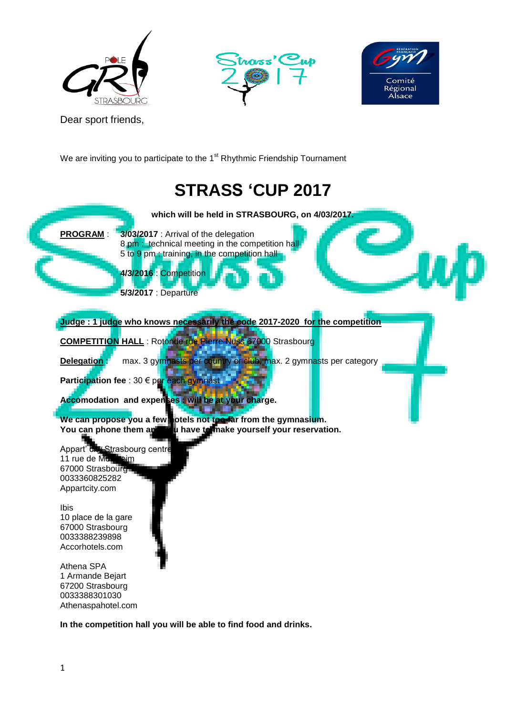





Dear sport friends,

We are inviting you to participate to the 1<sup>st</sup> Rhythmic Friendship Tournament

# **STRASS 'CUP 2017**



**In the competition hall you will be able to find food and drinks.**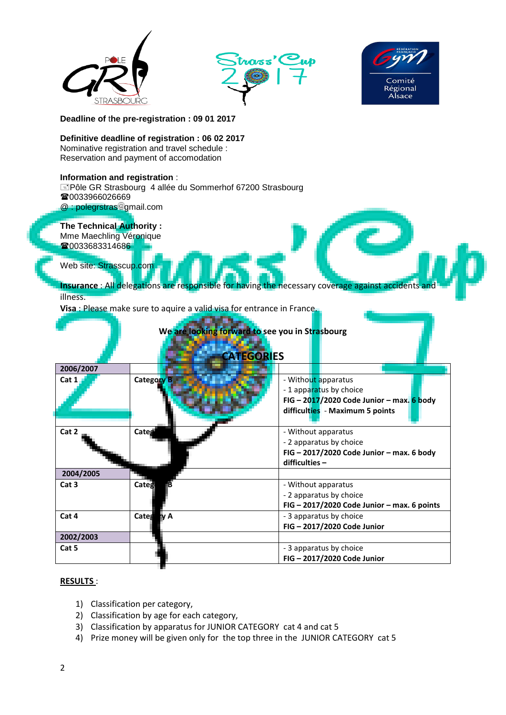





**Deadline of** t**he pre-registration : 09 01 2017**

#### **Definitive deadline of registration : 06 02 2017**

Nominative registration and travel schedule : Reservation and payment of accomodation

#### **Information and registration** :

Pôle GR Strasbourg 4 allée du Sommerhof 67200 Strasbourg ■0033966026669

@ : polegrstras gmail.com

**The Technical Authority :**

Mme Maechling Véronique 10033683314686

Web site: Strasscup.com

**Insurance** : All delegations are responsible for having the necessary coverage against accidents and illness.

**Visa** : Please make sure to aquire a valid visa for entrance in France.

**ATTACHED** 

| We are looking forward to see you in Strasbourg<br><b>CATEGORIES</b> |                   |                                                                                                                                 |  |  |  |  |  |
|----------------------------------------------------------------------|-------------------|---------------------------------------------------------------------------------------------------------------------------------|--|--|--|--|--|
| 2006/2007                                                            |                   |                                                                                                                                 |  |  |  |  |  |
| Cat 1                                                                | <b>Category B</b> | - Without apparatus<br>-1 apparatus by choice<br>FIG - $2017/2020$ Code Junior - max. 6 body<br>difficulties - Maximum 5 points |  |  |  |  |  |
| Cat 2                                                                | Categ             | - Without apparatus<br>- 2 apparatus by choice<br>FIG - 2017/2020 Code Junior - max. 6 body<br>$difficulties -$                 |  |  |  |  |  |
| 2004/2005                                                            |                   |                                                                                                                                 |  |  |  |  |  |
| Cat <sub>3</sub>                                                     | Catego            | - Without apparatus<br>- 2 apparatus by choice<br>FIG - 2017/2020 Code Junior - max. 6 points                                   |  |  |  |  |  |
| Cat 4                                                                | Category A        | - 3 apparatus by choice<br>FIG - 2017/2020 Code Junior                                                                          |  |  |  |  |  |
| 2002/2003                                                            |                   |                                                                                                                                 |  |  |  |  |  |
| Cat 5                                                                |                   | - 3 apparatus by choice<br>FIG - 2017/2020 Code Junior                                                                          |  |  |  |  |  |

#### **RESULTS** :

- 1) Classification per category,
- 2) Classification by age for each category,
- 3) Classification by apparatus for JUNIOR CATEGORY cat 4 and cat 5
- 4) Prize money will be given only for the top three in the JUNIOR CATEGORY cat 5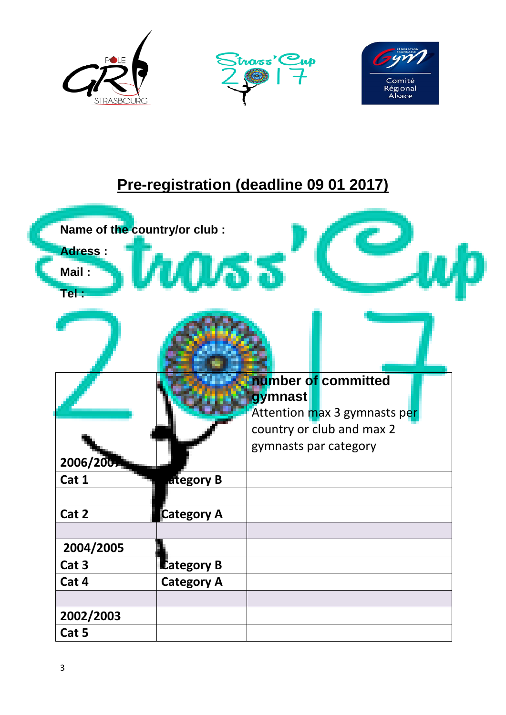

## **Pre-registration (deadline 09 01 2017)**

| <b>Adress:</b><br>Mail:<br>$TeI$ : | Name of the country/or club : | 53                                                             |
|------------------------------------|-------------------------------|----------------------------------------------------------------|
|                                    |                               |                                                                |
|                                    |                               | number of committed<br>gymnast<br>Attention max 3 gymnasts per |
| 2006/2007                          |                               | country or club and max 2<br>gymnasts par category             |
| Cat 1                              |                               |                                                                |
|                                    | ategory B                     |                                                                |
| Cat 2                              | <b>Category A</b>             |                                                                |
|                                    |                               |                                                                |
| 2004/2005                          |                               |                                                                |
| Cat <sub>3</sub>                   | <b>Lategory B</b>             |                                                                |
| Cat 4                              | <b>Category A</b>             |                                                                |
|                                    |                               |                                                                |
| 2002/2003                          |                               |                                                                |
| Cat 5                              |                               |                                                                |